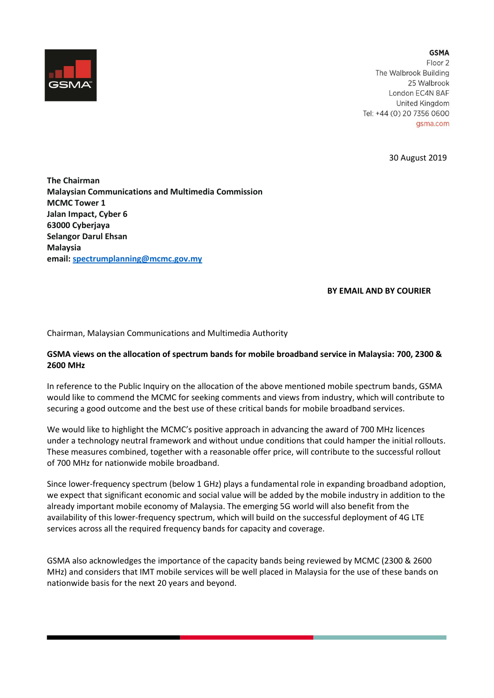

**GSMA** Floor<sub>2</sub> The Walbrook Building 25 Walbrook London EC4N 8AF United Kingdom Tel: +44 (0) 20 7356 0600 gsma.com

30 August 2019

**The Chairman Malaysian Communications and Multimedia Commission MCMC Tower 1 Jalan Impact, Cyber 6 63000 Cyberjaya Selangor Darul Ehsan Malaysia email[: spectrumplanning@mcmc.gov.my](mailto:spectrumplanning@mcmc.gov.my)**

## **BY EMAIL AND BY COURIER**

Chairman, Malaysian Communications and Multimedia Authority

## **GSMA views on the allocation of spectrum bands for mobile broadband service in Malaysia: 700, 2300 & 2600 MHz**

In reference to the Public Inquiry on the allocation of the above mentioned mobile spectrum bands, GSMA would like to commend the MCMC for seeking comments and views from industry, which will contribute to securing a good outcome and the best use of these critical bands for mobile broadband services.

We would like to highlight the MCMC's positive approach in advancing the award of 700 MHz licences under a technology neutral framework and without undue conditions that could hamper the initial rollouts. These measures combined, together with a reasonable offer price, will contribute to the successful rollout of 700 MHz for nationwide mobile broadband.

Since lower-frequency spectrum (below 1 GHz) plays a fundamental role in expanding broadband adoption, we expect that significant economic and social value will be added by the mobile industry in addition to the already important mobile economy of Malaysia. The emerging 5G world will also benefit from the availability of this lower-frequency spectrum, which will build on the successful deployment of 4G LTE services across all the required frequency bands for capacity and coverage.

GSMA also acknowledges the importance of the capacity bands being reviewed by MCMC (2300 & 2600 MHz) and considers that IMT mobile services will be well placed in Malaysia for the use of these bands on nationwide basis for the next 20 years and beyond.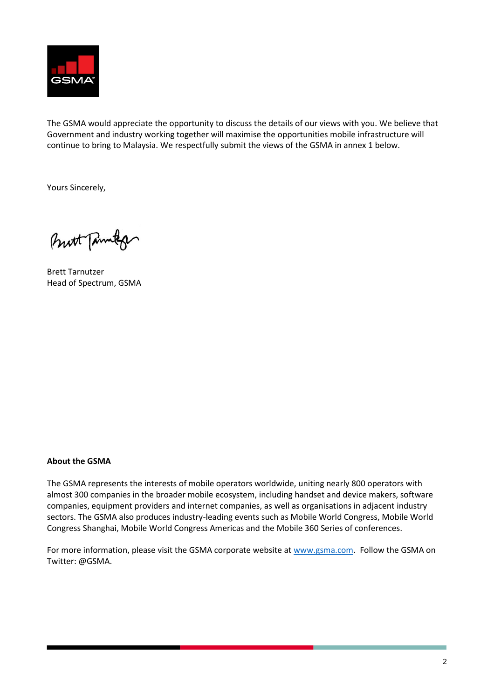

The GSMA would appreciate the opportunity to discuss the details of our views with you. We believe that Government and industry working together will maximise the opportunities mobile infrastructure will continue to bring to Malaysia. We respectfully submit the views of the GSMA in annex 1 below.

Yours Sincerely,

Butt Tanner

Brett Tarnutzer Head of Spectrum, GSMA

## **About the GSMA**

The GSMA represents the interests of mobile operators worldwide, uniting nearly 800 operators with almost 300 companies in the broader mobile ecosystem, including handset and device makers, software companies, equipment providers and internet companies, as well as organisations in adjacent industry sectors. The GSMA also produces industry-leading events such as Mobile World Congress, Mobile World Congress Shanghai, Mobile World Congress Americas and the Mobile 360 Series of conferences.

For more information, please visit the GSMA corporate website at [www.gsma.com.](http://www.gsma.com/) Follow the GSMA on Twitter: @GSMA.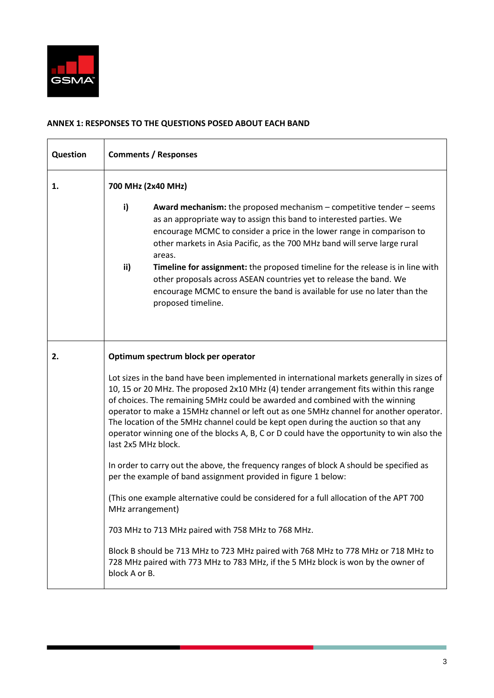

## **ANNEX 1: RESPONSES TO THE QUESTIONS POSED ABOUT EACH BAND**

| Question | <b>Comments / Responses</b>                                                                                                                                                                                                                                                                                                                                                                                                                                                                                                                                               |  |  |  |
|----------|---------------------------------------------------------------------------------------------------------------------------------------------------------------------------------------------------------------------------------------------------------------------------------------------------------------------------------------------------------------------------------------------------------------------------------------------------------------------------------------------------------------------------------------------------------------------------|--|--|--|
| 1.       | 700 MHz (2x40 MHz)                                                                                                                                                                                                                                                                                                                                                                                                                                                                                                                                                        |  |  |  |
|          | i)<br><b>Award mechanism:</b> the proposed mechanism $-$ competitive tender $-$ seems<br>as an appropriate way to assign this band to interested parties. We<br>encourage MCMC to consider a price in the lower range in comparison to<br>other markets in Asia Pacific, as the 700 MHz band will serve large rural<br>areas.                                                                                                                                                                                                                                             |  |  |  |
|          | ii)<br>Timeline for assignment: the proposed timeline for the release is in line with<br>other proposals across ASEAN countries yet to release the band. We<br>encourage MCMC to ensure the band is available for use no later than the<br>proposed timeline.                                                                                                                                                                                                                                                                                                             |  |  |  |
| 2.       | Optimum spectrum block per operator                                                                                                                                                                                                                                                                                                                                                                                                                                                                                                                                       |  |  |  |
|          | Lot sizes in the band have been implemented in international markets generally in sizes of<br>10, 15 or 20 MHz. The proposed 2x10 MHz (4) tender arrangement fits within this range<br>of choices. The remaining 5MHz could be awarded and combined with the winning<br>operator to make a 15MHz channel or left out as one 5MHz channel for another operator.<br>The location of the 5MHz channel could be kept open during the auction so that any<br>operator winning one of the blocks A, B, C or D could have the opportunity to win also the<br>last 2x5 MHz block. |  |  |  |
|          | In order to carry out the above, the frequency ranges of block A should be specified as<br>per the example of band assignment provided in figure 1 below:                                                                                                                                                                                                                                                                                                                                                                                                                 |  |  |  |
|          | (This one example alternative could be considered for a full allocation of the APT 700<br>MHz arrangement)                                                                                                                                                                                                                                                                                                                                                                                                                                                                |  |  |  |
|          | 703 MHz to 713 MHz paired with 758 MHz to 768 MHz.                                                                                                                                                                                                                                                                                                                                                                                                                                                                                                                        |  |  |  |
|          | Block B should be 713 MHz to 723 MHz paired with 768 MHz to 778 MHz or 718 MHz to<br>728 MHz paired with 773 MHz to 783 MHz, if the 5 MHz block is won by the owner of<br>block A or B.                                                                                                                                                                                                                                                                                                                                                                                   |  |  |  |

the property of the control of the control of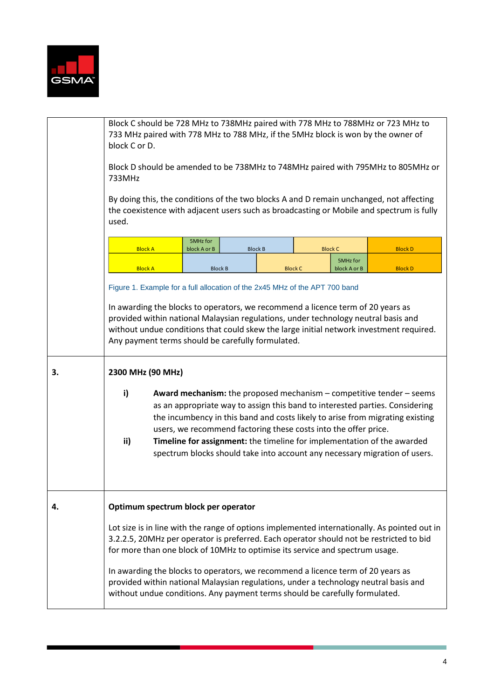

|    | Block C should be 728 MHz to 738MHz paired with 778 MHz to 788MHz or 723 MHz to<br>733 MHz paired with 778 MHz to 788 MHz, if the 5MHz block is won by the owner of<br>block C or D.                                                                                                                                                                                                                                                                                                      |                          |                |                          |                |
|----|-------------------------------------------------------------------------------------------------------------------------------------------------------------------------------------------------------------------------------------------------------------------------------------------------------------------------------------------------------------------------------------------------------------------------------------------------------------------------------------------|--------------------------|----------------|--------------------------|----------------|
|    | Block D should be amended to be 738MHz to 748MHz paired with 795MHz to 805MHz or<br>733MHz                                                                                                                                                                                                                                                                                                                                                                                                |                          |                |                          |                |
|    | By doing this, the conditions of the two blocks A and D remain unchanged, not affecting<br>the coexistence with adjacent users such as broadcasting or Mobile and spectrum is fully<br>used.                                                                                                                                                                                                                                                                                              |                          |                |                          |                |
|    | <b>Block A</b>                                                                                                                                                                                                                                                                                                                                                                                                                                                                            | 5MHz for<br>block A or B | <b>Block B</b> | <b>Block C</b>           | <b>Block D</b> |
|    | <b>Block A</b>                                                                                                                                                                                                                                                                                                                                                                                                                                                                            | <b>Block B</b>           | <b>Block C</b> | 5MHz for<br>block A or B | <b>Block D</b> |
|    | Figure 1. Example for a full allocation of the 2x45 MHz of the APT 700 band                                                                                                                                                                                                                                                                                                                                                                                                               |                          |                |                          |                |
|    | In awarding the blocks to operators, we recommend a licence term of 20 years as<br>provided within national Malaysian regulations, under technology neutral basis and<br>without undue conditions that could skew the large initial network investment required.<br>Any payment terms should be carefully formulated.                                                                                                                                                                     |                          |                |                          |                |
| 3. | 2300 MHz (90 MHz)                                                                                                                                                                                                                                                                                                                                                                                                                                                                         |                          |                |                          |                |
|    | i)<br><b>Award mechanism:</b> the proposed mechanism $-$ competitive tender $-$ seems<br>as an appropriate way to assign this band to interested parties. Considering<br>the incumbency in this band and costs likely to arise from migrating existing<br>users, we recommend factoring these costs into the offer price.<br>ii)<br>Timeline for assignment: the timeline for implementation of the awarded<br>spectrum blocks should take into account any necessary migration of users. |                          |                |                          |                |
| 4. | Optimum spectrum block per operator                                                                                                                                                                                                                                                                                                                                                                                                                                                       |                          |                |                          |                |
|    | Lot size is in line with the range of options implemented internationally. As pointed out in<br>3.2.2.5, 20MHz per operator is preferred. Each operator should not be restricted to bid<br>for more than one block of 10MHz to optimise its service and spectrum usage.                                                                                                                                                                                                                   |                          |                |                          |                |
|    | In awarding the blocks to operators, we recommend a licence term of 20 years as<br>provided within national Malaysian regulations, under a technology neutral basis and<br>without undue conditions. Any payment terms should be carefully formulated.                                                                                                                                                                                                                                    |                          |                |                          |                |